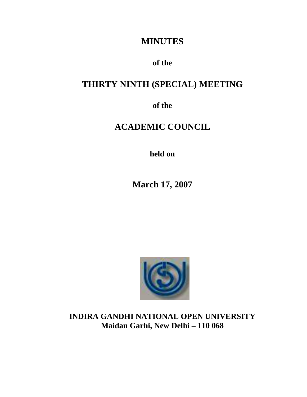## **MINUTES**

## **of the**

# **THIRTY NINTH (SPECIAL) MEETING**

**of the**

# **ACADEMIC COUNCIL**

**held on**

**March 17, 2007**



**INDIRA GANDHI NATIONAL OPEN UNIVERSITY Maidan Garhi, New Delhi – 110 068**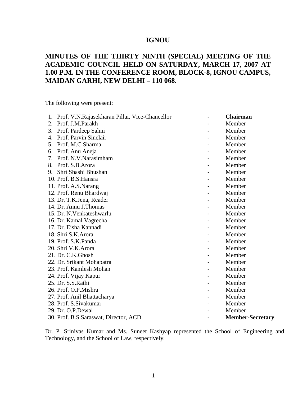### **IGNOU**

### **MINUTES OF THE THIRTY NINTH (SPECIAL) MEETING OF THE ACADEMIC COUNCIL HELD ON SATURDAY, MARCH 17, 2007 AT 1.00 P.M. IN THE CONFERENCE ROOM, BLOCK-8, IGNOU CAMPUS, MAIDAN GARHI, NEW DELHI – 110 068.**

The following were present:

| 1. | Prof. V.N.Rajasekharan Pillai, Vice-Chancellor | <b>Chairman</b>         |
|----|------------------------------------------------|-------------------------|
| 2. | Prof. J.M.Parakh                               | Member                  |
| 3. | Prof. Pardeep Sahni                            | Member                  |
|    | 4. Prof. Parvin Sinclair                       | Member                  |
| 5. | Prof. M.C.Sharma                               | Member                  |
| 6. | Prof. Anu Aneja                                | Member                  |
| 7. | Prof. N.V. Narasimham                          | Member                  |
|    | 8. Prof. S.B. Arora                            | Member                  |
|    | 9. Shri Shashi Bhushan                         | Member                  |
|    | 10. Prof. B.S.Hansra                           | Member                  |
|    | 11. Prof. A.S.Narang                           | Member                  |
|    | 12. Prof. Renu Bhardwaj                        | Member                  |
|    | 13. Dr. T.K.Jena, Reader                       | Member                  |
|    | 14. Dr. Annu J. Thomas                         | Member                  |
|    | 15. Dr. N. Venkateshwarlu                      | Member                  |
|    | 16. Dr. Kamal Vagrecha                         | Member                  |
|    | 17. Dr. Eisha Kannadi                          | Member                  |
|    | 18. Shri S.K.Arora                             | Member                  |
|    | 19. Prof. S.K.Panda                            | Member                  |
|    | 20. Shri V.K.Arora                             | Member                  |
|    | 21. Dr. C.K.Ghosh                              | Member                  |
|    | 22. Dr. Srikant Mohapatra                      | Member                  |
|    | 23. Prof. Kamlesh Mohan                        | Member                  |
|    | 24. Prof. Vijay Kapur                          | Member                  |
|    | 25. Dr. S.S.Rathi                              | Member                  |
|    | 26. Prof. O.P.Mishra                           | Member                  |
|    | 27. Prof. Anil Bhattacharya                    | Member                  |
|    | 28. Prof. S. Sivakumar                         | Member                  |
|    | 29. Dr. O.P.Dewal                              | Member                  |
|    | 30. Prof. B.S. Saraswat, Director, ACD         | <b>Member-Secretary</b> |

Dr. P. Srinivas Kumar and Ms. Suneet Kashyap represented the School of Engineering and Technology, and the School of Law, respectively.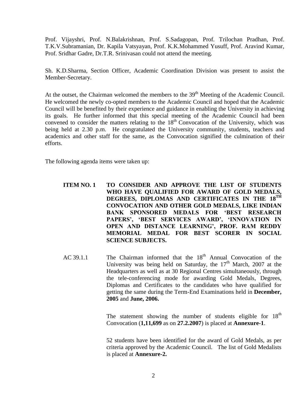Prof. Vijayshri, Prof. N.Balakrishnan, Prof. S.Sadagopan, Prof. Trilochan Pradhan, Prof. T.K.V.Subramanian, Dr. Kapila Vatsyayan, Prof. K.K.Mohammed Yusuff, Prof. Aravind Kumar, Prof. Sridhar Gadre, Dr.T.R. Srinivasan could not attend the meeting.

Sh. K.D.Sharma, Section Officer, Academic Coordination Division was present to assist the Member-Secretary.

At the outset, the Chairman welcomed the members to the  $39<sup>th</sup>$  Meeting of the Academic Council. He welcomed the newly co-opted members to the Academic Council and hoped that the Academic Council will be benefited by their experience and guidance in enabling the University in achieving its goals. He further informed that this special meeting of the Academic Council had been convened to consider the matters relating to the  $18<sup>th</sup>$  Convocation of the University, which was being held at 2.30 p.m. He congratulated the University community, students, teachers and academics and other staff for the same, as the Convocation signified the culmination of their efforts.

The following agenda items were taken up:

#### **ITEM NO. 1 TO CONSIDER AND APPROVE THE LIST OF STUDENTS WHO HAVE QUALIFIED FOR AWARD OF GOLD MEDALS, DEGREES, DIPLOMAS AND CERTIFICATES IN THE 18TH CONVOCATION AND OTHER GOLD MEDALS, LIKE INDIAN BANK SPONSORED MEDALS FOR 'BEST RESEARCH PAPERS', 'BEST SERVICES AWARD', 'INNOVATION IN OPEN AND DISTANCE LEARNING', PROF. RAM REDDY MEMORIAL MEDAL FOR BEST SCORER IN SOCIAL SCIENCE SUBJECTS.**

AC 39.1.1 The Chairman informed that the  $18<sup>th</sup>$  Annual Convocation of the University was being held on Saturday, the  $17<sup>th</sup>$  March, 2007 at the Headquarters as well as at 30 Regional Centres simultaneously, through the tele-conferencing mode for awarding Gold Medals, Degrees, Diplomas and Certificates to the candidates who have qualified for getting the same during the Term-End Examinations held in **December, 2005** and **June, 2006.**

> The statement showing the number of students eligible for  $18<sup>th</sup>$ Convocation (**1,11,699** as on **27.2.2007**) is placed at **Annexure-1**.

> 52 students have been identified for the award of Gold Medals, as per criteria approved by the Academic Council. The list of Gold Medalists is placed at **Annexure-2.**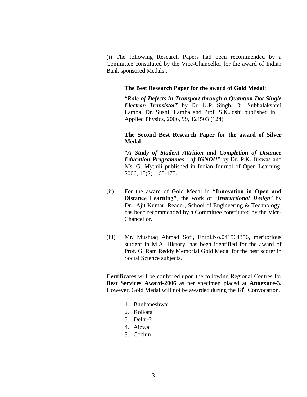(i) The following Research Papers had been recommended by a Committee constituted by the Vice-Chancellor for the award of Indian Bank sponsored Medals :

#### **The Best Research Paper for the award of Gold Medal**:

**"***Role of Defects in Transport through a Quantum Dot Single Electron Transistor***"** by Dr. K.P. Singh, Dr. Subhalakshmi Lamba, Dr. Sushil Lamba and Prof. S.K.Joshi published in J. Applied Physics, 2006, 99, 124503 (124)

#### **The Second Best Research Paper for the award of Silver Medal**:

**"***A Study of Student Attrition and Completion of Distance Education Programmes of IGNOU***"** by Dr. P.K. Biswas and Ms. G. Mythili published in Indian Journal of Open Learning, 2006, 15(2), 165-175.

- (ii) For the award of Gold Medal in **"Innovation in Open and Distance Learning"**, the work of '*Instructional Design'* by Dr. Ajit Kumar, Reader, School of Engineering & Technology, has been recommended by a Committee constituted by the Vice-Chancellor.
- (iii) Mr. Mushtaq Ahmad Sofi, Enrol.No.041564356, meritorious student in M.A. History, has been identified for the award of Prof. G. Ram Reddy Memorial Gold Medal for the best scorer in Social Science subjects.

**Certificates** will be conferred upon the following Regional Centres for **Best Services Award-2006** as per specimen placed at **Annexure-3.** However, Gold Medal will not be awarded during the 18<sup>th</sup> Convocation.

- 1. Bhubaneshwar
- 2. Kolkata
- 3. Delhi-2
- 4. Aizwal
- 5. Cochin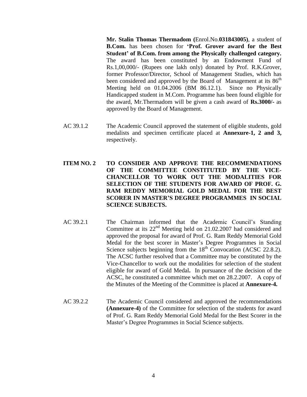**Mr. Stalin Thomas Thermadom (**Enrol.No.**031843005)**, a student of **B.Com.** has been chosen for **'Prof. Grover award for the Best Student' of B.Com. from among the Physically challenged category.** The award has been constituted by an Endowment Fund of Rs.1,00,000/- (Rupees one lakh only) donated by Prof. R.K.Grover, former Professor/Director, School of Management Studies, which has been considered and approved by the Board of Management at its  $86<sup>th</sup>$ Meeting held on 01.04.2006 (BM 86.12.1). Since no Physically Handicapped student in M.Com. Programme has been found eligible for the award, Mr.Thermadom will be given a cash award of **Rs.3000/-** as approved by the Board of Management.

- AC 39.1.2 The Academic Council approved the statement of eligible students, gold medalists and specimen certificate placed at **Annexure-1, 2 and 3,** respectively.
- **ITEM NO. 2 TO CONSIDER AND APPROVE THE RECOMMENDATIONS OF THE COMMITTEE CONSTITUTED BY THE VICE-CHANCELLOR TO WORK OUT THE MODALITIES FOR SELECTION OF THE STUDENTS FOR AWARD OF PROF. G. RAM REDDY MEMORIAL GOLD MEDAL FOR THE BEST SCORER IN MASTER'S DEGREE PROGRAMMES IN SOCIAL SCIENCE SUBJECTS.**
- AC 39.2.1 The Chairman informed that the Academic Council's Standing Committee at its 22nd Meeting held on 21.02.2007 had considered and approved the proposal for award of Prof. G. Ram Reddy Memorial Gold Medal for the best scorer in Master's Degree Programmes in Social Science subjects beginning from the  $18<sup>th</sup>$  Convocation (ACSC 22.8.2). The ACSC further resolved that a Committee may be constituted by the Vice-Chancellor to work out the modalities for selection of the student eligible for award of Gold Medal**.** In pursuance of the decision of the ACSC, he constituted a committee which met on 28.2.2007. A copy of the Minutes of the Meeting of the Committee is placed at **Annexure-4.**
- AC 39.2.2 The Academic Council considered and approved the recommendations **(Annexure-4)** of the Committee for selection of the students for award of Prof. G. Ram Reddy Memorial Gold Medal for the Best Scorer in the Master's Degree Programmes in Social Science subjects.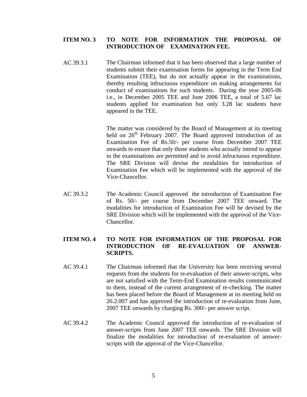#### **ITEM NO. 3 TO NOTE FOR INFORMATION THE PROPOSAL OF INTRODUCTION OF EXAMINATION FEE.**

AC 39.3.1 The Chairman informed that it has been observed that a large number of students submit their examination forms for appearing in the Term End Examination (TEE), but do not actually appear in the examinations, thereby resulting infructuous expenditure on making arrangements for conduct of examinations for such students. During the year 2005-06 i.e., in December 2005 TEE and June 2006 TEE, a total of 5.67 lac students applied for examination but only 3.28 lac students have appeared in the TEE.

> The matter was considered by the Board of Management at its meeting held on 26<sup>th</sup> February 2007. The Board approved introduction of an Examination Fee of Rs.50/- per course from December 2007 TEE onwards to ensure that only those students who actually intend to appear in the examinations are permitted and to avoid infructuous expenditure. The SRE Division will devise the modalities for introduction of Examination Fee which will be implemented with the approval of the Vice-Chancellor.

AC 39.3.2 The Academic Council approved the introduction of Examination Fee of Rs. 50/- per course from December 2007 TEE onward. The modalities for introduction of Examination Fee will be devised by the SRE Division which will be implemented with the approval of the Vice-Chancellor.

#### **ITEM NO. 4 TO NOTE FOR INFORMATION OF THE PROPOSAL FOR INTRODUCTION OF RE-EVALUATION OF ANSWER-SCRIPTS.**

- AC 39.4.1 The Chairman informed that the University has been receiving several requests from the students for re-evaluation of their answer-scripts, who are not satisfied with the Term-End Examination results communicated to them, instead of the current arrangement of re-checking. The matter has been placed before the Board of Management at its meeting held on 26.2.007 and has approved the introduction of re-evaluation from June, 2007 TEE onwards by charging Rs. 300/- per answer script.
- AC 39.4.2 The Academic Council approved the introduction of re-evaluation of answer-scripts from June 2007 TEE onwards. The SRE Division will finalize the modalities for introduction of re-evaluation of answerscripts with the approval of the Vice-Chancellor.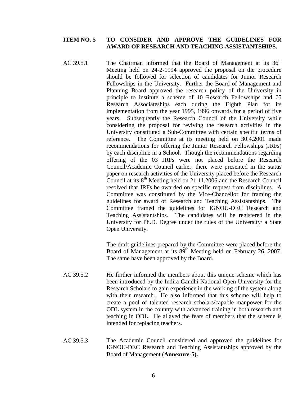#### **ITEM NO. 5 TO CONSIDER AND APPROVE THE GUIDELINES FOR AWARD OF RESEARCH AND TEACHING ASSISTANTSHIPS.**

AC 39.5.1 The Chairman informed that the Board of Management at its  $36<sup>th</sup>$ Meeting held on 24-2-1994 approved the proposal on the procedure should be followed for selection of candidates for Junior Research Fellowships in the University. Further the Board of Management and Planning Board approved the research policy of the University in principle to institute a scheme of 10 Research Fellowships and 05 Research Associateships each during the Eighth Plan for its implementation from the year 1995, 1996 onwards for a period of five years. Subsequently the Research Council of the University while considering the proposal for reviving the research activities in the University constituted a Sub-Committee with certain specific terms of reference. The Committee at its meeting held on 30.4.2001 made recommendations for offering the Junior Research Fellowships (JRFs) by each discipline in a School. Though the recommendations regarding offering of the 03 JRFs were not placed before the Research Council/Academic Council earlier, there were presented in the status paper on research activities of the University placed before the Research Council at its  $8<sup>th</sup>$  Meeting held on 21.11.2006 and the Research Council resolved that JRFs be awarded on specific request from disciplines. A Committee was constituted by the Vice-Chancellor for framing the guidelines for award of Research and Teaching Assistantships. The Committee framed the guidelines for IGNOU-DEC Research and Teaching Assistantships. The candidates will be registered in the University for Ph.D. Degree under the rules of the University/ a State Open University.

> The draft guidelines prepared by the Committee were placed before the Board of Management at its  $89<sup>th</sup>$  Meeting held on February 26, 2007. The same have been approved by the Board.

- AC 39.5.2 He further informed the members about this unique scheme which has been introduced by the Indira Gandhi National Open University for the Research Scholars to gain experience in the working of the system along with their research. He also informed that this scheme will help to create a pool of talented research scholars/capable manpower for the ODL system in the country with advanced training in both research and teaching in ODL. He allayed the fears of members that the scheme is intended for replacing teachers.
- AC 39.5.3 The Academic Council considered and approved the guidelines for IGNOU-DEC Research and Teaching Assistantships approved by the Board of Management (**Annexure-5).**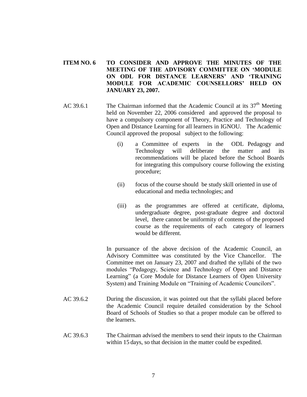#### **ITEM NO. 6 TO CONSIDER AND APPROVE THE MINUTES OF THE MEETING OF THE ADVISORY COMMITTEE ON 'MODULE ON ODL FOR DISTANCE LEARNERS' AND 'TRAINING MODULE FOR ACADEMIC COUNSELLORS' HELD ON JANUARY 23, 2007.**

- AC 39.6.1 The Chairman informed that the Academic Council at its  $37<sup>th</sup>$  Meeting held on November 22, 2006 considered and approved the proposal to have a compulsory component of Theory, Practice and Technology of Open and Distance Learning for all learners in IGNOU. The Academic Council approved the proposal subject to the following:
	- (i) a Committee of experts in the ODL Pedagogy and Technology will deliberate the matter and its recommendations will be placed before the School Boards for integrating this compulsory course following the existing procedure;
	- (ii) focus of the course should be study skill oriented in use of educational and media technologies; and
	- (iii) as the programmes are offered at certificate, diploma, undergraduate degree, post-graduate degree and doctoral level, there cannot be uniformity of contents of the proposed course as the requirements of each category of learners would be different.

In pursuance of the above decision of the Academic Council, an Advisory Committee was constituted by the Vice Chancellor. The Committee met on January 23, 2007 and drafted the syllabi of the two modules "Pedagogy, Science and Technology of Open and Distance Learning" (a Core Module for Distance Learners of Open University System) and Training Module on "Training of Academic Councilors".

- AC 39.6.2 During the discussion, it was pointed out that the syllabi placed before the Academic Council require detailed consideration by the School Board of Schools of Studies so that a proper module can be offered to the learners.
- AC 39.6.3 The Chairman advised the members to send their inputs to the Chairman within 15 days, so that decision in the matter could be expedited.